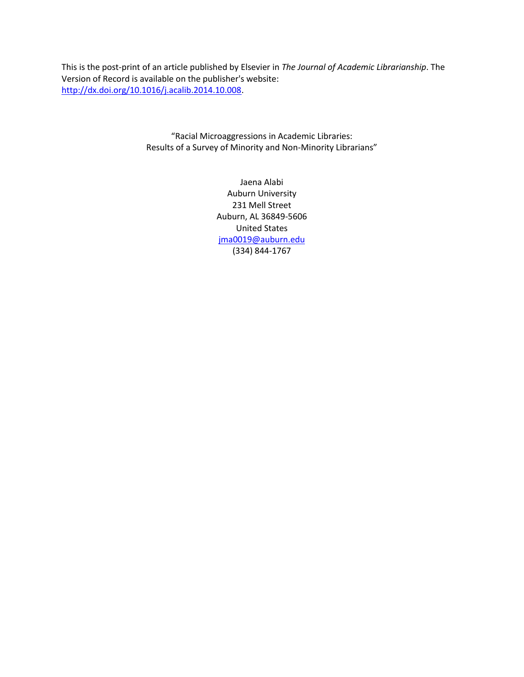This is the post-print of an article published by Elsevier in *The Journal of Academic Librarianship*. The Version of Record is available on the publisher's website: [http://dx.doi.org/10.1016/j.acalib.2014.10.008.](http://dx.doi.org/10.1016/j.acalib.2014.10.008)

> "Racial Microaggressions in Academic Libraries: Results of a Survey of Minority and Non-Minority Librarians"

> > Jaena Alabi Auburn University 231 Mell Street Auburn, AL 36849-5606 United States [jma0019@auburn.edu](mailto:jma0019@auburn.edu) (334) 844-1767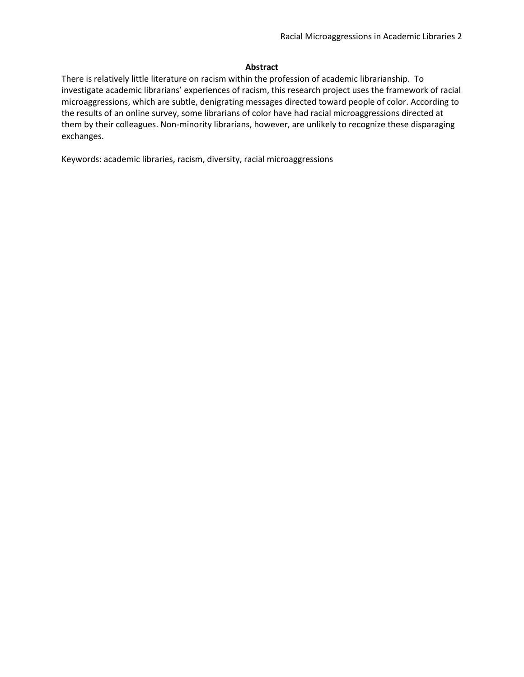### **Abstract**

There is relatively little literature on racism within the profession of academic librarianship. To investigate academic librarians' experiences of racism, this research project uses the framework of racial microaggressions, which are subtle, denigrating messages directed toward people of color. According to the results of an online survey, some librarians of color have had racial microaggressions directed at them by their colleagues. Non-minority librarians, however, are unlikely to recognize these disparaging exchanges.

Keywords: academic libraries, racism, diversity, racial microaggressions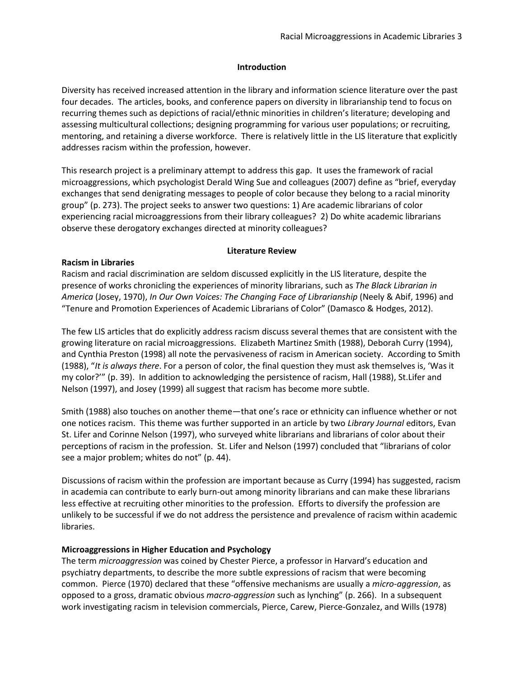# **Introduction**

Diversity has received increased attention in the library and information science literature over the past four decades. The articles, books, and conference papers on diversity in librarianship tend to focus on recurring themes such as depictions of racial/ethnic minorities in children's literature; developing and assessing multicultural collections; designing programming for various user populations; or recruiting, mentoring, and retaining a diverse workforce. There is relatively little in the LIS literature that explicitly addresses racism within the profession, however.

This research project is a preliminary attempt to address this gap. It uses the framework of racial microaggressions, which psychologist Derald Wing Sue and colleagues (2007) define as "brief, everyday exchanges that send denigrating messages to people of color because they belong to a racial minority group" (p. 273). The project seeks to answer two questions: 1) Are academic librarians of color experiencing racial microaggressions from their library colleagues? 2) Do white academic librarians observe these derogatory exchanges directed at minority colleagues?

#### **Literature Review**

## **Racism in Libraries**

Racism and racial discrimination are seldom discussed explicitly in the LIS literature, despite the presence of works chronicling the experiences of minority librarians, such as *The Black Librarian in America* (Josey, 1970), *In Our Own Voices: The Changing Face of Librarianship* (Neely & Abif, 1996) and "Tenure and Promotion Experiences of Academic Librarians of Color" (Damasco & Hodges, 2012).

The few LIS articles that do explicitly address racism discuss several themes that are consistent with the growing literature on racial microaggressions. Elizabeth Martinez Smith (1988), Deborah Curry (1994), and Cynthia Preston (1998) all note the pervasiveness of racism in American society. According to Smith (1988), "*It is always there*. For a person of color, the final question they must ask themselves is, 'Was it my color?'" (p. 39). In addition to acknowledging the persistence of racism, Hall (1988), St.Lifer and Nelson (1997), and Josey (1999) all suggest that racism has become more subtle.

Smith (1988) also touches on another theme—that one's race or ethnicity can influence whether or not one notices racism. This theme was further supported in an article by two *Library Journal* editors, Evan St. Lifer and Corinne Nelson (1997), who surveyed white librarians and librarians of color about their perceptions of racism in the profession. St. Lifer and Nelson (1997) concluded that "librarians of color see a major problem; whites do not" (p. 44).

Discussions of racism within the profession are important because as Curry (1994) has suggested, racism in academia can contribute to early burn-out among minority librarians and can make these librarians less effective at recruiting other minorities to the profession. Efforts to diversify the profession are unlikely to be successful if we do not address the persistence and prevalence of racism within academic libraries.

# **Microaggressions in Higher Education and Psychology**

The term *microaggression* was coined by Chester Pierce, a professor in Harvard's education and psychiatry departments, to describe the more subtle expressions of racism that were becoming common. Pierce (1970) declared that these "offensive mechanisms are usually a *micro-aggression*, as opposed to a gross, dramatic obvious *macro-aggression* such as lynching" (p. 266). In a subsequent work investigating racism in television commercials, Pierce, Carew, Pierce-Gonzalez, and Wills (1978)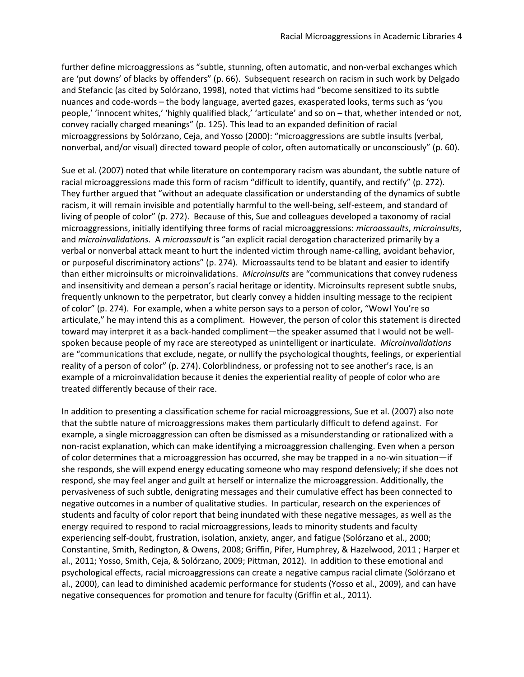further define microaggressions as "subtle, stunning, often automatic, and non-verbal exchanges which are 'put downs' of blacks by offenders" (p. 66). Subsequent research on racism in such work by Delgado and Stefancic (as cited by Solórzano, 1998), noted that victims had "become sensitized to its subtle nuances and code-words – the body language, averted gazes, exasperated looks, terms such as 'you people,' 'innocent whites,' 'highly qualified black,' 'articulate' and so on – that, whether intended or not, convey racially charged meanings" (p. 125). This lead to an expanded definition of racial microaggressions by Solórzano, Ceja, and Yosso (2000): "microaggressions are subtle insults (verbal, nonverbal, and/or visual) directed toward people of color, often automatically or unconsciously" (p. 60).

Sue et al. (2007) noted that while literature on contemporary racism was abundant, the subtle nature of racial microaggressions made this form of racism "difficult to identify, quantify, and rectify" (p. 272). They further argued that "without an adequate classification or understanding of the dynamics of subtle racism, it will remain invisible and potentially harmful to the well-being, self-esteem, and standard of living of people of color" (p. 272). Because of this, Sue and colleagues developed a taxonomy of racial microaggressions, initially identifying three forms of racial microaggressions: *microassaults*, *microinsults*, and *microinvalidations*. A *microassault* is "an explicit racial derogation characterized primarily by a verbal or nonverbal attack meant to hurt the indented victim through name-calling, avoidant behavior, or purposeful discriminatory actions" (p. 274). Microassaults tend to be blatant and easier to identify than either microinsults or microinvalidations. *Microinsults* are "communications that convey rudeness and insensitivity and demean a person's racial heritage or identity. Microinsults represent subtle snubs, frequently unknown to the perpetrator, but clearly convey a hidden insulting message to the recipient of color" (p. 274). For example, when a white person says to a person of color, "Wow! You're so articulate," he may intend this as a compliment. However, the person of color this statement is directed toward may interpret it as a back-handed compliment—the speaker assumed that I would not be wellspoken because people of my race are stereotyped as unintelligent or inarticulate. *Microinvalidations* are "communications that exclude, negate, or nullify the psychological thoughts, feelings, or experiential reality of a person of color" (p. 274). Colorblindness, or professing not to see another's race, is an example of a microinvalidation because it denies the experiential reality of people of color who are treated differently because of their race.

In addition to presenting a classification scheme for racial microaggressions, Sue et al. (2007) also note that the subtle nature of microaggressions makes them particularly difficult to defend against. For example, a single microaggression can often be dismissed as a misunderstanding or rationalized with a non-racist explanation, which can make identifying a microaggression challenging. Even when a person of color determines that a microaggression has occurred, she may be trapped in a no-win situation—if she responds, she will expend energy educating someone who may respond defensively; if she does not respond, she may feel anger and guilt at herself or internalize the microaggression. Additionally, the pervasiveness of such subtle, denigrating messages and their cumulative effect has been connected to negative outcomes in a number of qualitative studies. In particular, research on the experiences of students and faculty of color report that being inundated with these negative messages, as well as the energy required to respond to racial microaggressions, leads to minority students and faculty experiencing self-doubt, frustration, isolation, anxiety, anger, and fatigue (Solórzano et al., 2000; Constantine, Smith, Redington, & Owens, 2008; Griffin, Pifer, Humphrey, & Hazelwood, 2011 ; Harper et al., 2011; Yosso, Smith, Ceja, & Solórzano, 2009; Pittman, 2012). In addition to these emotional and psychological effects, racial microaggressions can create a negative campus racial climate (Solórzano et al., 2000), can lead to diminished academic performance for students (Yosso et al., 2009), and can have negative consequences for promotion and tenure for faculty (Griffin et al., 2011).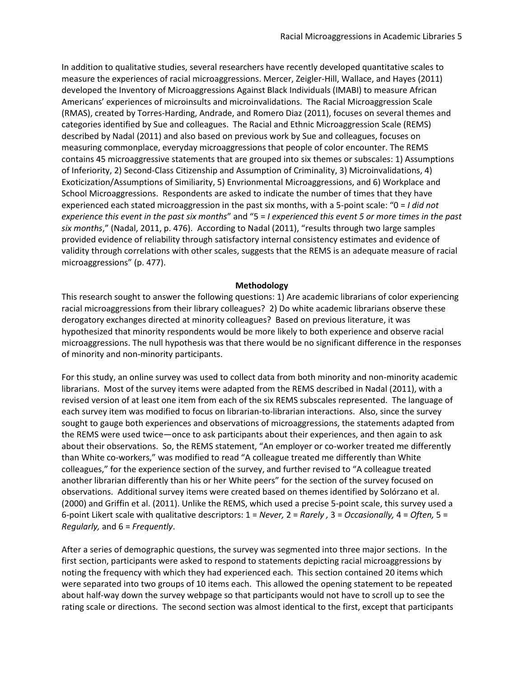In addition to qualitative studies, several researchers have recently developed quantitative scales to measure the experiences of racial microaggressions. Mercer, Zeigler-Hill, Wallace, and Hayes (2011) developed the Inventory of Microaggressions Against Black Individuals (IMABI) to measure African Americans' experiences of microinsults and microinvalidations. The Racial Microaggression Scale (RMAS), created by Torres-Harding, Andrade, and Romero Diaz (2011), focuses on several themes and categories identified by Sue and colleagues. The Racial and Ethnic Microaggression Scale (REMS) described by Nadal (2011) and also based on previous work by Sue and colleagues, focuses on measuring commonplace, everyday microaggressions that people of color encounter. The REMS contains 45 microaggressive statements that are grouped into six themes or subscales: 1) Assumptions of Inferiority, 2) Second-Class Citizenship and Assumption of Criminality, 3) Microinvalidations, 4) Exoticization/Assumptions of Similiarity, 5) Envrionmental Microaggressions, and 6) Workplace and School Microaggressions. Respondents are asked to indicate the number of times that they have experienced each stated microaggression in the past six months, with a 5-point scale: "0 = *I did not experience this event in the past six months*" and "5 = *I experienced this event 5 or more times in the past six months*," (Nadal, 2011, p. 476). According to Nadal (2011), "results through two large samples provided evidence of reliability through satisfactory internal consistency estimates and evidence of validity through correlations with other scales, suggests that the REMS is an adequate measure of racial microaggressions" (p. 477).

#### **Methodology**

This research sought to answer the following questions: 1) Are academic librarians of color experiencing racial microaggressions from their library colleagues? 2) Do white academic librarians observe these derogatory exchanges directed at minority colleagues? Based on previous literature, it was hypothesized that minority respondents would be more likely to both experience and observe racial microaggressions. The null hypothesis was that there would be no significant difference in the responses of minority and non-minority participants.

For this study, an online survey was used to collect data from both minority and non-minority academic librarians. Most of the survey items were adapted from the REMS described in Nadal (2011), with a revised version of at least one item from each of the six REMS subscales represented. The language of each survey item was modified to focus on librarian-to-librarian interactions. Also, since the survey sought to gauge both experiences and observations of microaggressions, the statements adapted from the REMS were used twice—once to ask participants about their experiences, and then again to ask about their observations. So, the REMS statement, "An employer or co-worker treated me differently than White co-workers," was modified to read "A colleague treated me differently than White colleagues," for the experience section of the survey, and further revised to "A colleague treated another librarian differently than his or her White peers" for the section of the survey focused on observations. Additional survey items were created based on themes identified by Solórzano et al. (2000) and Griffin et al. (2011). Unlike the REMS, which used a precise 5-point scale, this survey used a 6-point Likert scale with qualitative descriptors: 1 = *Never,* 2 = *Rarely ,* 3 = *Occasionally,* 4 = *Often,* 5 = *Regularly,* and 6 = *Frequently*.

After a series of demographic questions, the survey was segmented into three major sections. In the first section, participants were asked to respond to statements depicting racial microaggressions by noting the frequency with which they had experienced each. This section contained 20 items which were separated into two groups of 10 items each. This allowed the opening statement to be repeated about half-way down the survey webpage so that participants would not have to scroll up to see the rating scale or directions. The second section was almost identical to the first, except that participants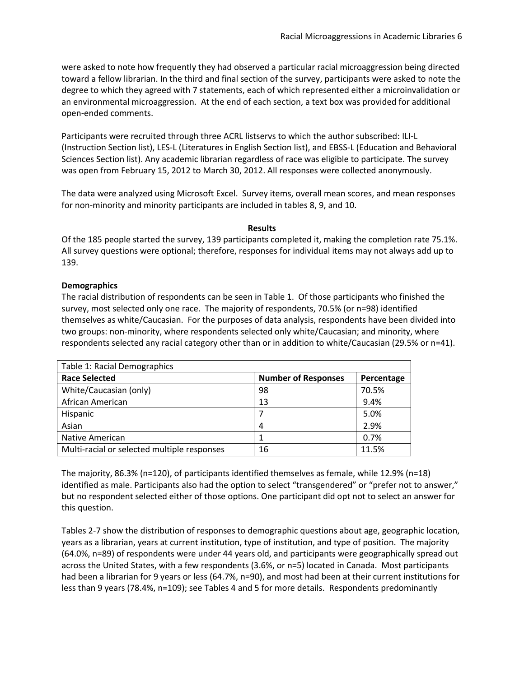were asked to note how frequently they had observed a particular racial microaggression being directed toward a fellow librarian. In the third and final section of the survey, participants were asked to note the degree to which they agreed with 7 statements, each of which represented either a microinvalidation or an environmental microaggression. At the end of each section, a text box was provided for additional open-ended comments.

Participants were recruited through three ACRL listservs to which the author subscribed: ILI-L (Instruction Section list), LES-L (Literatures in English Section list), and EBSS-L (Education and Behavioral Sciences Section list). Any academic librarian regardless of race was eligible to participate. The survey was open from February 15, 2012 to March 30, 2012. All responses were collected anonymously.

The data were analyzed using Microsoft Excel. Survey items, overall mean scores, and mean responses for non-minority and minority participants are included in tables 8, 9, and 10.

#### **Results**

Of the 185 people started the survey, 139 participants completed it, making the completion rate 75.1%. All survey questions were optional; therefore, responses for individual items may not always add up to 139.

# **Demographics**

The racial distribution of respondents can be seen in Table 1. Of those participants who finished the survey, most selected only one race. The majority of respondents, 70.5% (or n=98) identified themselves as white/Caucasian. For the purposes of data analysis, respondents have been divided into two groups: non-minority, where respondents selected only white/Caucasian; and minority, where respondents selected any racial category other than or in addition to white/Caucasian (29.5% or n=41).

| Table 1: Racial Demographics                |                            |            |  |  |
|---------------------------------------------|----------------------------|------------|--|--|
| <b>Race Selected</b>                        | <b>Number of Responses</b> | Percentage |  |  |
| White/Caucasian (only)                      | 98                         | 70.5%      |  |  |
| African American                            | 13                         | 9.4%       |  |  |
| Hispanic                                    |                            | 5.0%       |  |  |
| Asian                                       | 4                          | 2.9%       |  |  |
| Native American                             |                            | 0.7%       |  |  |
| Multi-racial or selected multiple responses | 16                         | 11.5%      |  |  |

The majority, 86.3% (n=120), of participants identified themselves as female, while 12.9% (n=18) identified as male. Participants also had the option to select "transgendered" or "prefer not to answer," but no respondent selected either of those options. One participant did opt not to select an answer for this question.

Tables 2-7 show the distribution of responses to demographic questions about age, geographic location, years as a librarian, years at current institution, type of institution, and type of position. The majority (64.0%, n=89) of respondents were under 44 years old, and participants were geographically spread out across the United States, with a few respondents (3.6%, or n=5) located in Canada. Most participants had been a librarian for 9 years or less (64.7%, n=90), and most had been at their current institutions for less than 9 years (78.4%, n=109); see Tables 4 and 5 for more details. Respondents predominantly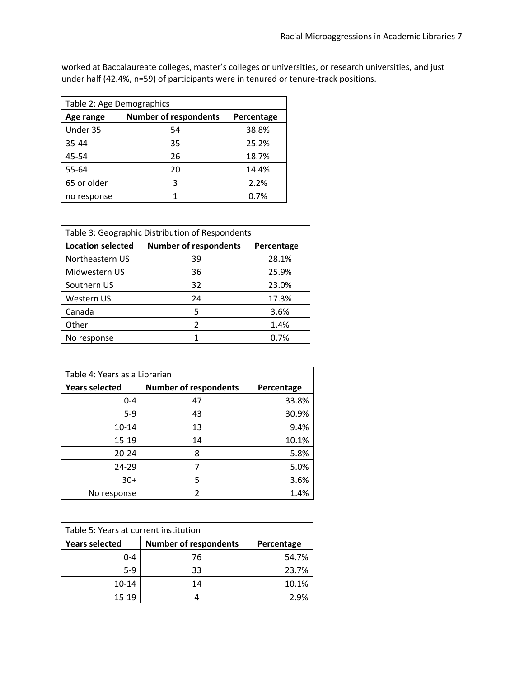worked at Baccalaureate colleges, master's colleges or universities, or research universities, and just under half (42.4%, n=59) of participants were in tenured or tenure-track positions.

| Table 2: Age Demographics                               |    |       |  |
|---------------------------------------------------------|----|-------|--|
| <b>Number of respondents</b><br>Percentage<br>Age range |    |       |  |
| Under 35                                                | 54 | 38.8% |  |
| 35-44                                                   | 35 | 25.2% |  |
| 45-54                                                   | 26 | 18.7% |  |
| 55-64                                                   | 20 | 14.4% |  |
| 65 or older                                             | ς  | 2.2%  |  |
| no response                                             |    | 0.7%  |  |

| Table 3: Geographic Distribution of Respondents |                                            |       |  |  |  |
|-------------------------------------------------|--------------------------------------------|-------|--|--|--|
| <b>Location selected</b>                        | <b>Number of respondents</b><br>Percentage |       |  |  |  |
| Northeastern US                                 | 39                                         | 28.1% |  |  |  |
| Midwestern US                                   | 36                                         | 25.9% |  |  |  |
| Southern US                                     | 32                                         | 23.0% |  |  |  |
| Western US                                      | 24                                         | 17.3% |  |  |  |
| Canada                                          | 5                                          | 3.6%  |  |  |  |
| Other                                           | $\mathcal{P}$                              | 1.4%  |  |  |  |
| No response                                     |                                            | 0.7%  |  |  |  |

| Table 4: Years as a Librarian |                                            |       |  |  |
|-------------------------------|--------------------------------------------|-------|--|--|
| <b>Years selected</b>         | <b>Number of respondents</b><br>Percentage |       |  |  |
| $0-4$                         | 47                                         | 33.8% |  |  |
| $5-9$                         | 43                                         | 30.9% |  |  |
| $10 - 14$                     | 13                                         | 9.4%  |  |  |
| 15-19                         | 14                                         | 10.1% |  |  |
| $20 - 24$                     | 8                                          | 5.8%  |  |  |
| 24-29                         |                                            | 5.0%  |  |  |
| $30+$                         | 5                                          | 3.6%  |  |  |
| No response                   | 2                                          | 1.4%  |  |  |

| Table 5: Years at current institution                               |    |       |  |  |
|---------------------------------------------------------------------|----|-------|--|--|
| <b>Number of respondents</b><br><b>Years selected</b><br>Percentage |    |       |  |  |
| 0-4                                                                 | 76 | 54.7% |  |  |
| $5-9$                                                               | 33 | 23.7% |  |  |
| $10-14$                                                             | 14 | 10.1% |  |  |
| $15 - 19$                                                           |    | 2.9%  |  |  |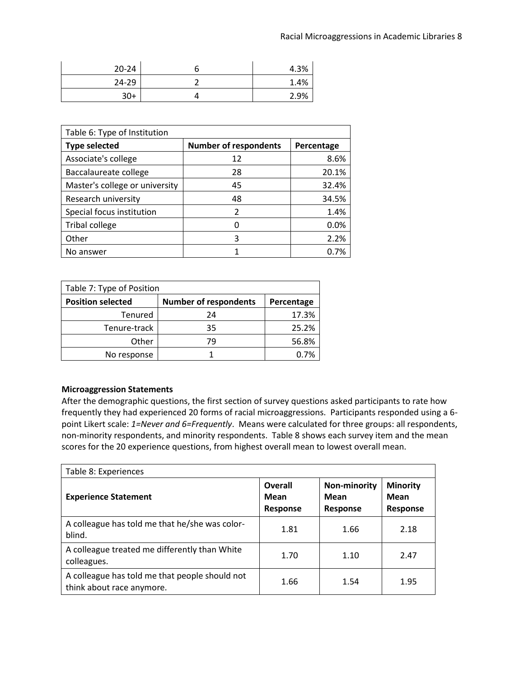| $20 - 24$ | 4.3% |
|-----------|------|
| 24-29     | 1.4% |
| 30+       | 2.9% |

| Table 6: Type of Institution   |                              |            |  |  |
|--------------------------------|------------------------------|------------|--|--|
| <b>Type selected</b>           | <b>Number of respondents</b> | Percentage |  |  |
| Associate's college            | 12                           | 8.6%       |  |  |
| Baccalaureate college          | 28                           | 20.1%      |  |  |
| Master's college or university | 45                           | 32.4%      |  |  |
| Research university            | 48                           | 34.5%      |  |  |
| Special focus institution      | 2                            | 1.4%       |  |  |
| Tribal college                 |                              | 0.0%       |  |  |
| Other                          | 3                            | 2.2%       |  |  |
| No answer                      |                              | $0.7\%$    |  |  |

| Table 7: Type of Position |                              |            |  |  |
|---------------------------|------------------------------|------------|--|--|
| <b>Position selected</b>  | <b>Number of respondents</b> | Percentage |  |  |
| Tenured                   | 24                           | 17.3%      |  |  |
| Tenure-track              | 35                           | 25.2%      |  |  |
| Other                     | 79                           | 56.8%      |  |  |
| No response               |                              | 0.7%       |  |  |

#### **Microaggression Statements**

After the demographic questions, the first section of survey questions asked participants to rate how frequently they had experienced 20 forms of racial microaggressions. Participants responded using a 6 point Likert scale: *1=Never and 6=Frequently*. Means were calculated for three groups: all respondents, non-minority respondents, and minority respondents. Table 8 shows each survey item and the mean scores for the 20 experience questions, from highest overall mean to lowest overall mean.

| Table 8: Experiences                                                        |                                    |                                                |                                     |  |
|-----------------------------------------------------------------------------|------------------------------------|------------------------------------------------|-------------------------------------|--|
| <b>Experience Statement</b>                                                 | Overall<br>Mean<br><b>Response</b> | <b>Non-minority</b><br>Mean<br><b>Response</b> | <b>Minority</b><br>Mean<br>Response |  |
| A colleague has told me that he/she was color-<br>blind.                    | 1.81                               | 1.66                                           | 2.18                                |  |
| A colleague treated me differently than White<br>colleagues.                | 1.70                               | 1.10                                           | 2.47                                |  |
| A colleague has told me that people should not<br>think about race anymore. | 1.66                               | 1.54                                           | 1.95                                |  |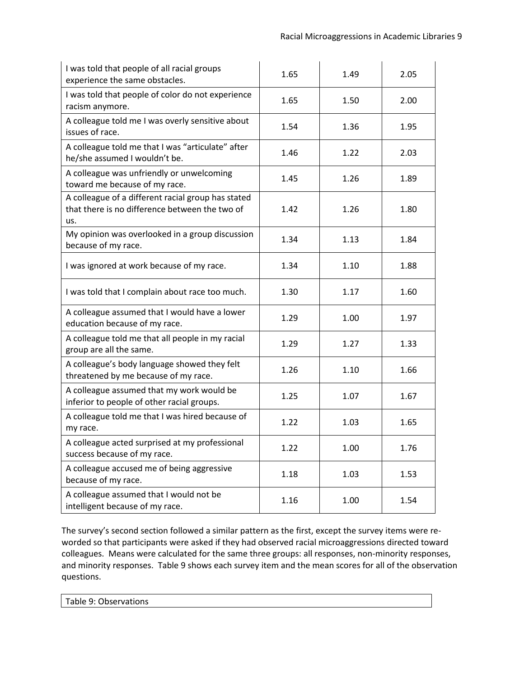| I was told that people of all racial groups<br>experience the same obstacles.                               | 1.65 | 1.49 | 2.05 |
|-------------------------------------------------------------------------------------------------------------|------|------|------|
| I was told that people of color do not experience<br>racism anymore.                                        | 1.65 | 1.50 | 2.00 |
| A colleague told me I was overly sensitive about<br>issues of race.                                         | 1.54 | 1.36 | 1.95 |
| A colleague told me that I was "articulate" after<br>he/she assumed I wouldn't be.                          | 1.46 | 1.22 | 2.03 |
| A colleague was unfriendly or unwelcoming<br>toward me because of my race.                                  | 1.45 | 1.26 | 1.89 |
| A colleague of a different racial group has stated<br>that there is no difference between the two of<br>us. | 1.42 | 1.26 | 1.80 |
| My opinion was overlooked in a group discussion<br>because of my race.                                      | 1.34 | 1.13 | 1.84 |
| I was ignored at work because of my race.                                                                   | 1.34 | 1.10 | 1.88 |
| I was told that I complain about race too much.                                                             | 1.30 | 1.17 | 1.60 |
| A colleague assumed that I would have a lower<br>education because of my race.                              | 1.29 | 1.00 | 1.97 |
| A colleague told me that all people in my racial<br>group are all the same.                                 | 1.29 | 1.27 | 1.33 |
| A colleague's body language showed they felt<br>threatened by me because of my race.                        | 1.26 | 1.10 | 1.66 |
| A colleague assumed that my work would be<br>inferior to people of other racial groups.                     | 1.25 | 1.07 | 1.67 |
| A colleague told me that I was hired because of<br>my race.                                                 | 1.22 | 1.03 | 1.65 |
| A colleague acted surprised at my professional<br>success because of my race.                               | 1.22 | 1.00 | 1.76 |
| A colleague accused me of being aggressive<br>because of my race.                                           | 1.18 | 1.03 | 1.53 |
| A colleague assumed that I would not be<br>intelligent because of my race.                                  | 1.16 | 1.00 | 1.54 |

The survey's second section followed a similar pattern as the first, except the survey items were reworded so that participants were asked if they had observed racial microaggressions directed toward colleagues. Means were calculated for the same three groups: all responses, non-minority responses, and minority responses. Table 9 shows each survey item and the mean scores for all of the observation questions.

Table 9: Observations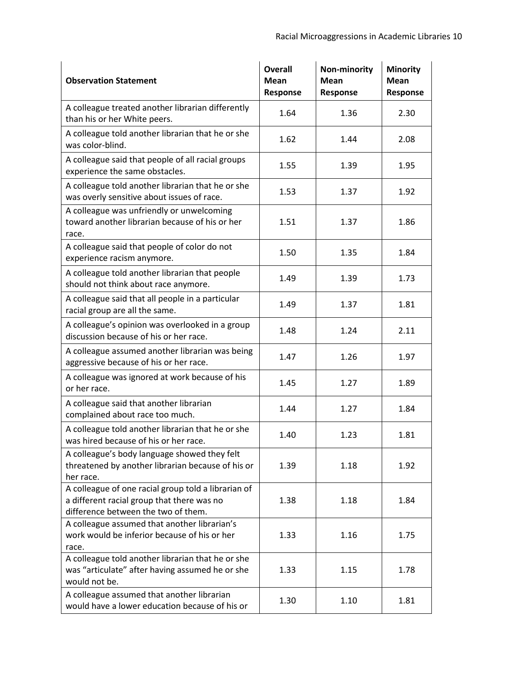| <b>Observation Statement</b>                                                                                                             | <b>Overall</b><br>Mean<br>Response | Non-minority<br><b>Mean</b><br>Response | <b>Minority</b><br><b>Mean</b><br>Response |
|------------------------------------------------------------------------------------------------------------------------------------------|------------------------------------|-----------------------------------------|--------------------------------------------|
| A colleague treated another librarian differently<br>than his or her White peers.                                                        | 1.64                               | 1.36                                    | 2.30                                       |
| A colleague told another librarian that he or she<br>was color-blind.                                                                    | 1.62                               | 1.44                                    | 2.08                                       |
| A colleague said that people of all racial groups<br>experience the same obstacles.                                                      | 1.55                               | 1.39                                    | 1.95                                       |
| A colleague told another librarian that he or she<br>was overly sensitive about issues of race.                                          | 1.53                               | 1.37                                    | 1.92                                       |
| A colleague was unfriendly or unwelcoming<br>toward another librarian because of his or her<br>race.                                     | 1.51                               | 1.37                                    | 1.86                                       |
| A colleague said that people of color do not<br>experience racism anymore.                                                               | 1.50                               | 1.35                                    | 1.84                                       |
| A colleague told another librarian that people<br>should not think about race anymore.                                                   | 1.49                               | 1.39                                    | 1.73                                       |
| A colleague said that all people in a particular<br>racial group are all the same.                                                       | 1.49                               | 1.37                                    | 1.81                                       |
| A colleague's opinion was overlooked in a group<br>discussion because of his or her race.                                                | 1.48                               | 1.24                                    | 2.11                                       |
| A colleague assumed another librarian was being<br>aggressive because of his or her race.                                                | 1.47                               | 1.26                                    | 1.97                                       |
| A colleague was ignored at work because of his<br>or her race.                                                                           | 1.45                               | 1.27                                    | 1.89                                       |
| A colleague said that another librarian<br>complained about race too much.                                                               | 1.44                               | 1.27                                    | 1.84                                       |
| A colleague told another librarian that he or she<br>was hired because of his or her race.                                               | 1.40                               | 1.23                                    | 1.81                                       |
| A colleague's body language showed they felt<br>threatened by another librarian because of his or<br>her race.                           | 1.39                               | 1.18                                    | 1.92                                       |
| A colleague of one racial group told a librarian of<br>a different racial group that there was no<br>difference between the two of them. | 1.38                               | 1.18                                    | 1.84                                       |
| A colleague assumed that another librarian's<br>work would be inferior because of his or her<br>race.                                    | 1.33                               | 1.16                                    | 1.75                                       |
| A colleague told another librarian that he or she<br>was "articulate" after having assumed he or she<br>would not be.                    | 1.33                               | 1.15                                    | 1.78                                       |
| A colleague assumed that another librarian<br>would have a lower education because of his or                                             | 1.30                               | 1.10                                    | 1.81                                       |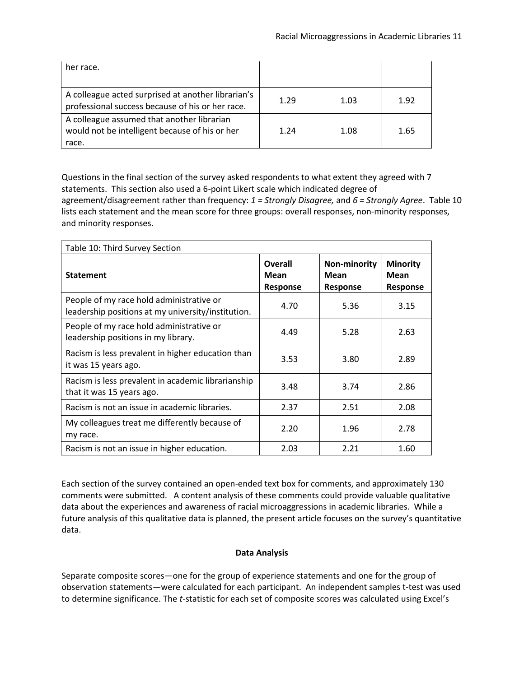| her race.                                                                                              |      |      |      |
|--------------------------------------------------------------------------------------------------------|------|------|------|
| A colleague acted surprised at another librarian's<br>professional success because of his or her race. | 1.29 | 1.03 | 1.92 |
| A colleague assumed that another librarian<br>would not be intelligent because of his or her<br>race.  | 1.24 | 1.08 | 1.65 |

Questions in the final section of the survey asked respondents to what extent they agreed with 7 statements. This section also used a 6-point Likert scale which indicated degree of agreement/disagreement rather than frequency: *1 = Strongly Disagree,* and *6 = Strongly Agree*. Table 10 lists each statement and the mean score for three groups: overall responses, non-minority responses, and minority responses.

| Table 10: Third Survey Section                                                                 |                                    |                                                |                                            |
|------------------------------------------------------------------------------------------------|------------------------------------|------------------------------------------------|--------------------------------------------|
| <b>Statement</b>                                                                               | Overall<br>Mean<br><b>Response</b> | <b>Non-minority</b><br>Mean<br><b>Response</b> | <b>Minority</b><br>Mean<br><b>Response</b> |
| People of my race hold administrative or<br>leadership positions at my university/institution. | 4.70                               | 5.36                                           | 3.15                                       |
| People of my race hold administrative or<br>leadership positions in my library.                | 4.49                               | 5.28                                           | 2.63                                       |
| Racism is less prevalent in higher education than<br>it was 15 years ago.                      | 3.53                               | 3.80                                           | 2.89                                       |
| Racism is less prevalent in academic librarianship<br>that it was 15 years ago.                | 3.48                               | 3.74                                           | 2.86                                       |
| Racism is not an issue in academic libraries.                                                  | 2.37                               | 2.51                                           | 2.08                                       |
| My colleagues treat me differently because of<br>my race.                                      | 2.20                               | 1.96                                           | 2.78                                       |
| Racism is not an issue in higher education.                                                    | 2.03                               | 2.21                                           | 1.60                                       |

Each section of the survey contained an open-ended text box for comments, and approximately 130 comments were submitted. A content analysis of these comments could provide valuable qualitative data about the experiences and awareness of racial microaggressions in academic libraries. While a future analysis of this qualitative data is planned, the present article focuses on the survey's quantitative data.

# **Data Analysis**

Separate composite scores—one for the group of experience statements and one for the group of observation statements—were calculated for each participant. An independent samples t-test was used to determine significance. The *t*-statistic for each set of composite scores was calculated using Excel's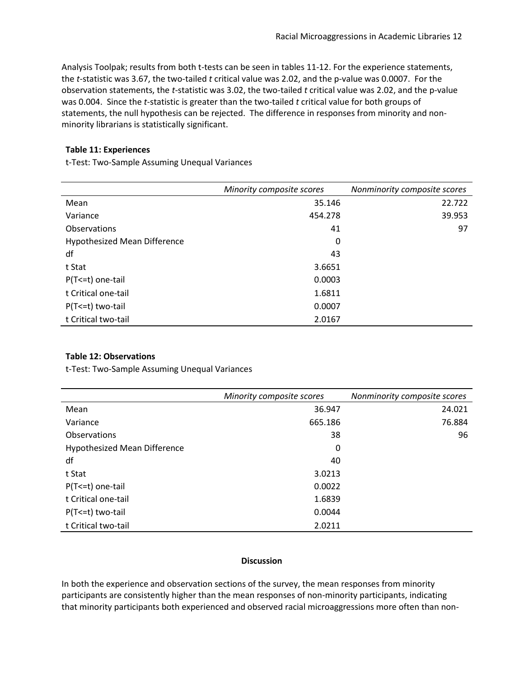Analysis Toolpak; results from both t-tests can be seen in tables 11-12. For the experience statements, the *t-*statistic was 3.67, the two-tailed *t* critical value was 2.02, and the p-value was 0.0007. For the observation statements, the *t-*statistic was 3.02, the two-tailed *t* critical value was 2.02, and the p-value was 0.004. Since the *t*-statistic is greater than the two-tailed *t* critical value for both groups of statements, the null hypothesis can be rejected. The difference in responses from minority and nonminority librarians is statistically significant.

### **Table 11: Experiences**

t-Test: Two-Sample Assuming Unequal Variances

|                                     | Minority composite scores | Nonminority composite scores |
|-------------------------------------|---------------------------|------------------------------|
| Mean                                | 35.146                    | 22.722                       |
| Variance                            | 454.278                   | 39.953                       |
| Observations                        | 41                        | 97                           |
| <b>Hypothesized Mean Difference</b> | 0                         |                              |
| df                                  | 43                        |                              |
| t Stat                              | 3.6651                    |                              |
| P(T <= t) one-tail                  | 0.0003                    |                              |
| t Critical one-tail                 | 1.6811                    |                              |
| $P(T \le t)$ two-tail               | 0.0007                    |                              |
| t Critical two-tail                 | 2.0167                    |                              |

#### **Table 12: Observations**

t-Test: Two-Sample Assuming Unequal Variances

|                                     | Minority composite scores | Nonminority composite scores |
|-------------------------------------|---------------------------|------------------------------|
| Mean                                | 36.947                    | 24.021                       |
| Variance                            | 665.186                   | 76.884                       |
| <b>Observations</b>                 | 38                        | 96                           |
| <b>Hypothesized Mean Difference</b> | 0                         |                              |
| df                                  | 40                        |                              |
| t Stat                              | 3.0213                    |                              |
| P(T <= t) one-tail                  | 0.0022                    |                              |
| t Critical one-tail                 | 1.6839                    |                              |
| $P(T \le t)$ two-tail               | 0.0044                    |                              |
| t Critical two-tail                 | 2.0211                    |                              |

# **Discussion**

In both the experience and observation sections of the survey, the mean responses from minority participants are consistently higher than the mean responses of non-minority participants, indicating that minority participants both experienced and observed racial microaggressions more often than non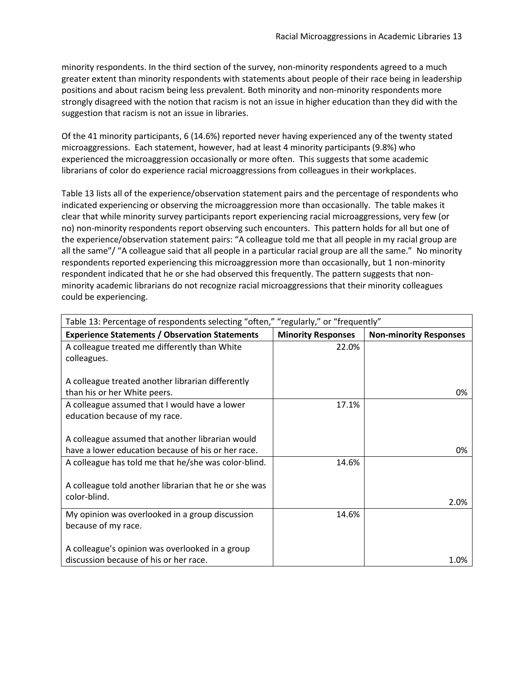minority respondents. In the third section of the survey, non-minority respondents agreed to a much greater extent than minority respondents with statements about people of their race being in leadership positions and about racism being less prevalent. Both minority and non-minority respondents more strongly disagreed with the notion that racism is not an issue in higher education than they did with the suggestion that racism is not an issue in libraries.

Of the 41 minority participants, 6 (14.6%) reported never having experienced any of the twenty stated microaggressions. Each statement, however, had at least 4 minority participants (9.8%) who experienced the microaggression occasionally or more often. This suggests that some academic librarians of color do experience racial microaggressions from colleagues in their workplaces.

Table 13 lists all of the experience/observation statement pairs and the percentage of respondents who indicated experiencing or observing the microaggression more than occasionally. The table makes it clear that while minority survey participants report experiencing racial microaggressions, very few (or no) non-minority respondents report observing such encounters. This pattern holds for all but one of the experience/observation statement pairs: "A colleague told me that all people in my racial group are all the same"/ "A colleague said that all people in a particular racial group are all the same." No minority respondents reported experiencing this microaggression more than occasionally, but 1 non-minority respondent indicated that he or she had observed this frequently. The pattern suggests that nonminority academic librarians do not recognize racial microaggressions that their minority colleagues could be experiencing.

| Table 13: Percentage of respondents selecting "often," "regularly," or "frequently" |                           |                               |  |
|-------------------------------------------------------------------------------------|---------------------------|-------------------------------|--|
| <b>Experience Statements / Observation Statements</b>                               | <b>Minority Responses</b> | <b>Non-minority Responses</b> |  |
| A colleague treated me differently than White                                       | 22.0%                     |                               |  |
| colleagues.                                                                         |                           |                               |  |
|                                                                                     |                           |                               |  |
| A colleague treated another librarian differently                                   |                           |                               |  |
| than his or her White peers.                                                        |                           | 0%                            |  |
| A colleague assumed that I would have a lower                                       | 17.1%                     |                               |  |
| education because of my race.                                                       |                           |                               |  |
|                                                                                     |                           |                               |  |
| A colleague assumed that another librarian would                                    |                           |                               |  |
| have a lower education because of his or her race.                                  |                           | 0%                            |  |
| A colleague has told me that he/she was color-blind.                                | 14.6%                     |                               |  |
|                                                                                     |                           |                               |  |
| A colleague told another librarian that he or she was                               |                           |                               |  |
| color-blind.                                                                        |                           | 2.0%                          |  |
|                                                                                     |                           |                               |  |
| My opinion was overlooked in a group discussion                                     | 14.6%                     |                               |  |
| because of my race.                                                                 |                           |                               |  |
|                                                                                     |                           |                               |  |
| A colleague's opinion was overlooked in a group                                     |                           |                               |  |
| discussion because of his or her race.                                              |                           | 1.0%                          |  |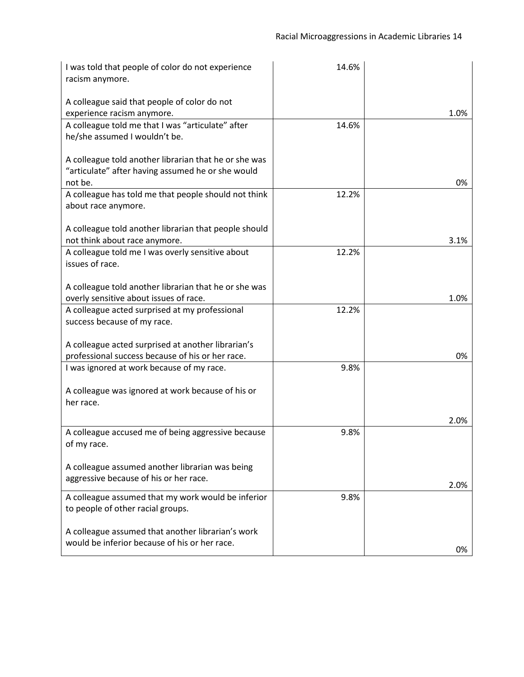| 14.6% |                                                                                                                                                                                               |
|-------|-----------------------------------------------------------------------------------------------------------------------------------------------------------------------------------------------|
|       |                                                                                                                                                                                               |
|       | 1.0%                                                                                                                                                                                          |
| 14.6% |                                                                                                                                                                                               |
|       |                                                                                                                                                                                               |
|       | 0%                                                                                                                                                                                            |
|       |                                                                                                                                                                                               |
|       |                                                                                                                                                                                               |
|       | 3.1%                                                                                                                                                                                          |
| 12.2% |                                                                                                                                                                                               |
|       | 1.0%                                                                                                                                                                                          |
|       |                                                                                                                                                                                               |
|       |                                                                                                                                                                                               |
|       |                                                                                                                                                                                               |
|       | 0%                                                                                                                                                                                            |
| 9.8%  |                                                                                                                                                                                               |
|       |                                                                                                                                                                                               |
|       | 2.0%                                                                                                                                                                                          |
| 9.8%  |                                                                                                                                                                                               |
|       |                                                                                                                                                                                               |
|       | 2.0%                                                                                                                                                                                          |
|       |                                                                                                                                                                                               |
|       | 0%                                                                                                                                                                                            |
|       | 12.2%<br>A colleague has told me that people should not think<br>A colleague told another librarian that people should<br>12.2%<br>A colleague assumed that my work would be inferior<br>9.8% |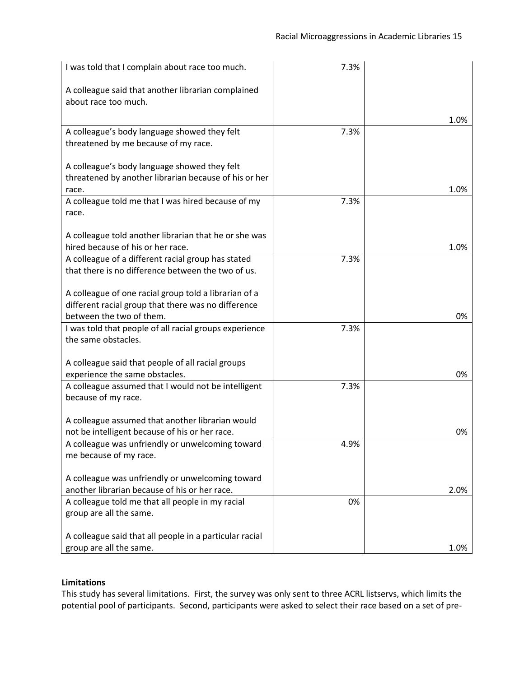| I was told that I complain about race too much.                                                          | 7.3% |      |
|----------------------------------------------------------------------------------------------------------|------|------|
|                                                                                                          |      |      |
| A colleague said that another librarian complained<br>about race too much.                               |      |      |
|                                                                                                          |      |      |
|                                                                                                          |      | 1.0% |
| A colleague's body language showed they felt                                                             | 7.3% |      |
| threatened by me because of my race.                                                                     |      |      |
| A colleague's body language showed they felt                                                             |      |      |
| threatened by another librarian because of his or her                                                    |      |      |
| race.                                                                                                    |      | 1.0% |
| A colleague told me that I was hired because of my                                                       | 7.3% |      |
| race.                                                                                                    |      |      |
|                                                                                                          |      |      |
| A colleague told another librarian that he or she was                                                    |      |      |
| hired because of his or her race.                                                                        |      | 1.0% |
| A colleague of a different racial group has stated<br>that there is no difference between the two of us. | 7.3% |      |
|                                                                                                          |      |      |
| A colleague of one racial group told a librarian of a                                                    |      |      |
| different racial group that there was no difference                                                      |      |      |
| between the two of them.                                                                                 |      | 0%   |
| I was told that people of all racial groups experience                                                   | 7.3% |      |
| the same obstacles.                                                                                      |      |      |
|                                                                                                          |      |      |
| A colleague said that people of all racial groups<br>experience the same obstacles.                      |      | 0%   |
| A colleague assumed that I would not be intelligent                                                      | 7.3% |      |
| because of my race.                                                                                      |      |      |
|                                                                                                          |      |      |
| A colleague assumed that another librarian would                                                         |      |      |
| not be intelligent because of his or her race.                                                           |      | 0%   |
| A colleague was unfriendly or unwelcoming toward                                                         | 4.9% |      |
| me because of my race.                                                                                   |      |      |
|                                                                                                          |      |      |
| A colleague was unfriendly or unwelcoming toward<br>another librarian because of his or her race.        |      | 2.0% |
| A colleague told me that all people in my racial                                                         | 0%   |      |
| group are all the same.                                                                                  |      |      |
|                                                                                                          |      |      |
| A colleague said that all people in a particular racial                                                  |      |      |
| group are all the same.                                                                                  |      | 1.0% |

# **Limitations**

This study has several limitations. First, the survey was only sent to three ACRL listservs, which limits the potential pool of participants. Second, participants were asked to select their race based on a set of pre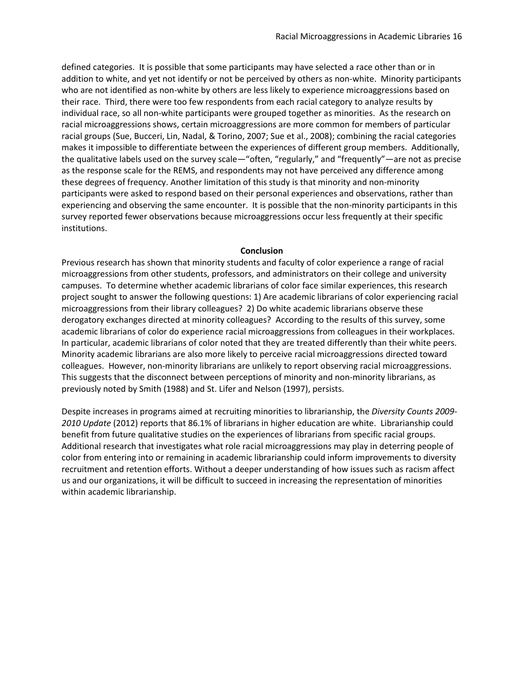defined categories. It is possible that some participants may have selected a race other than or in addition to white, and yet not identify or not be perceived by others as non-white. Minority participants who are not identified as non-white by others are less likely to experience microaggressions based on their race. Third, there were too few respondents from each racial category to analyze results by individual race, so all non-white participants were grouped together as minorities. As the research on racial microaggressions shows, certain microaggressions are more common for members of particular racial groups (Sue, Bucceri, Lin, Nadal, & Torino, 2007; Sue et al., 2008); combining the racial categories makes it impossible to differentiate between the experiences of different group members. Additionally, the qualitative labels used on the survey scale—"often, "regularly," and "frequently"—are not as precise as the response scale for the REMS, and respondents may not have perceived any difference among these degrees of frequency. Another limitation of this study is that minority and non-minority participants were asked to respond based on their personal experiences and observations, rather than experiencing and observing the same encounter. It is possible that the non-minority participants in this survey reported fewer observations because microaggressions occur less frequently at their specific institutions.

#### **Conclusion**

Previous research has shown that minority students and faculty of color experience a range of racial microaggressions from other students, professors, and administrators on their college and university campuses. To determine whether academic librarians of color face similar experiences, this research project sought to answer the following questions: 1) Are academic librarians of color experiencing racial microaggressions from their library colleagues? 2) Do white academic librarians observe these derogatory exchanges directed at minority colleagues? According to the results of this survey, some academic librarians of color do experience racial microaggressions from colleagues in their workplaces. In particular, academic librarians of color noted that they are treated differently than their white peers. Minority academic librarians are also more likely to perceive racial microaggressions directed toward colleagues. However, non-minority librarians are unlikely to report observing racial microaggressions. This suggests that the disconnect between perceptions of minority and non-minority librarians, as previously noted by Smith (1988) and St. Lifer and Nelson (1997), persists.

Despite increases in programs aimed at recruiting minorities to librarianship, the *Diversity Counts 2009- 2010 Update* (2012) reports that 86.1% of librarians in higher education are white. Librarianship could benefit from future qualitative studies on the experiences of librarians from specific racial groups. Additional research that investigates what role racial microaggressions may play in deterring people of color from entering into or remaining in academic librarianship could inform improvements to diversity recruitment and retention efforts. Without a deeper understanding of how issues such as racism affect us and our organizations, it will be difficult to succeed in increasing the representation of minorities within academic librarianship.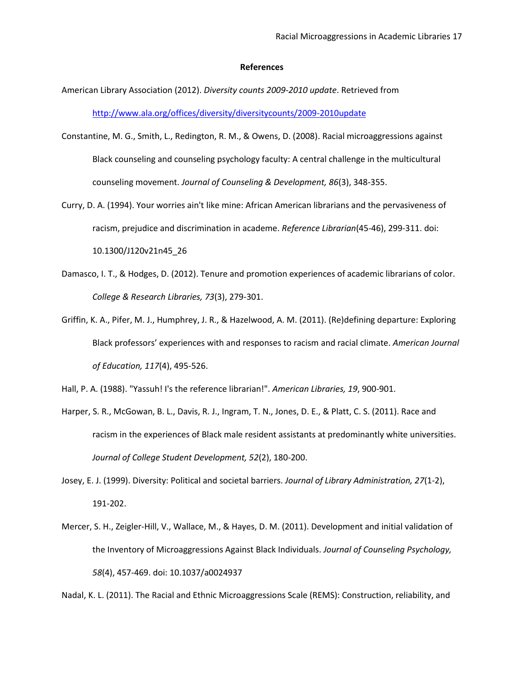#### **References**

- American Library Association (2012). *Diversity counts 2009-2010 update*. Retrieved from <http://www.ala.org/offices/diversity/diversitycounts/2009-2010update>
- Constantine, M. G., Smith, L., Redington, R. M., & Owens, D. (2008). Racial microaggressions against Black counseling and counseling psychology faculty: A central challenge in the multicultural counseling movement. *Journal of Counseling & Development, 86*(3), 348-355.
- Curry, D. A. (1994). Your worries ain't like mine: African American librarians and the pervasiveness of racism, prejudice and discrimination in academe. *Reference Librarian*(45-46), 299-311. doi: 10.1300/J120v21n45\_26
- Damasco, I. T., & Hodges, D. (2012). Tenure and promotion experiences of academic librarians of color. *College & Research Libraries, 73*(3), 279-301.
- Griffin, K. A., Pifer, M. J., Humphrey, J. R., & Hazelwood, A. M. (2011). (Re)defining departure: Exploring Black professors' experiences with and responses to racism and racial climate. *American Journal of Education, 117*(4), 495-526.

Hall, P. A. (1988). "Yassuh! I's the reference librarian!". *American Libraries, 19*, 900-901.

- Harper, S. R., McGowan, B. L., Davis, R. J., Ingram, T. N., Jones, D. E., & Platt, C. S. (2011). Race and racism in the experiences of Black male resident assistants at predominantly white universities. *Journal of College Student Development, 52*(2), 180-200.
- Josey, E. J. (1999). Diversity: Political and societal barriers. *Journal of Library Administration, 27*(1-2), 191-202.
- Mercer, S. H., Zeigler-Hill, V., Wallace, M., & Hayes, D. M. (2011). Development and initial validation of the Inventory of Microaggressions Against Black Individuals. *Journal of Counseling Psychology, 58*(4), 457-469. doi: 10.1037/a0024937

Nadal, K. L. (2011). The Racial and Ethnic Microaggressions Scale (REMS): Construction, reliability, and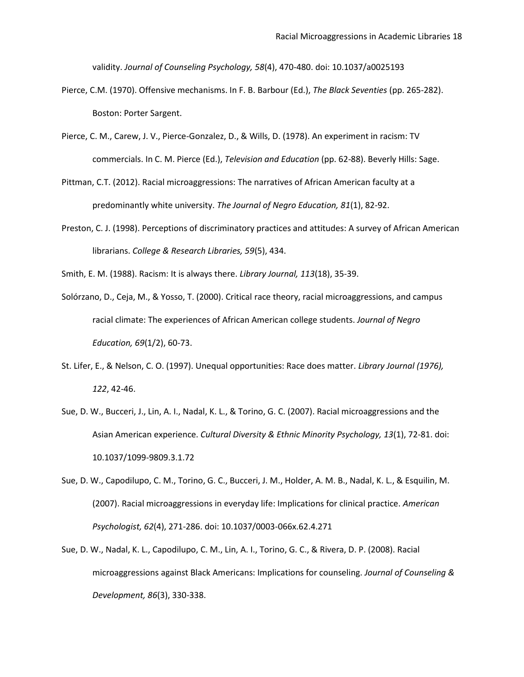validity. *Journal of Counseling Psychology, 58*(4), 470-480. doi: 10.1037/a0025193

- Pierce, C.M. (1970). Offensive mechanisms. In F. B. Barbour (Ed.), *The Black Seventies* (pp. 265-282). Boston: Porter Sargent.
- Pierce, C. M., Carew, J. V., Pierce-Gonzalez, D., & Wills, D. (1978). An experiment in racism: TV commercials. In C. M. Pierce (Ed.), *Television and Education* (pp. 62-88). Beverly Hills: Sage.
- Pittman, C.T. (2012). Racial microaggressions: The narratives of African American faculty at a predominantly white university. *The Journal of Negro Education, 81*(1), 82-92.
- Preston, C. J. (1998). Perceptions of discriminatory practices and attitudes: A survey of African American librarians. *College & Research Libraries, 59*(5), 434.

Smith, E. M. (1988). Racism: It is always there. *Library Journal, 113*(18), 35-39.

- Solórzano, D., Ceja, M., & Yosso, T. (2000). Critical race theory, racial microaggressions, and campus racial climate: The experiences of African American college students. *Journal of Negro Education, 69*(1/2), 60-73.
- St. Lifer, E., & Nelson, C. O. (1997). Unequal opportunities: Race does matter. *Library Journal (1976), 122*, 42-46.
- Sue, D. W., Bucceri, J., Lin, A. I., Nadal, K. L., & Torino, G. C. (2007). Racial microaggressions and the Asian American experience. *Cultural Diversity & Ethnic Minority Psychology, 13*(1), 72-81. doi: 10.1037/1099-9809.3.1.72
- Sue, D. W., Capodilupo, C. M., Torino, G. C., Bucceri, J. M., Holder, A. M. B., Nadal, K. L., & Esquilin, M. (2007). Racial microaggressions in everyday life: Implications for clinical practice. *American Psychologist, 62*(4), 271-286. doi: 10.1037/0003-066x.62.4.271
- Sue, D. W., Nadal, K. L., Capodilupo, C. M., Lin, A. I., Torino, G. C., & Rivera, D. P. (2008). Racial microaggressions against Black Americans: Implications for counseling. *Journal of Counseling & Development, 86*(3), 330-338.